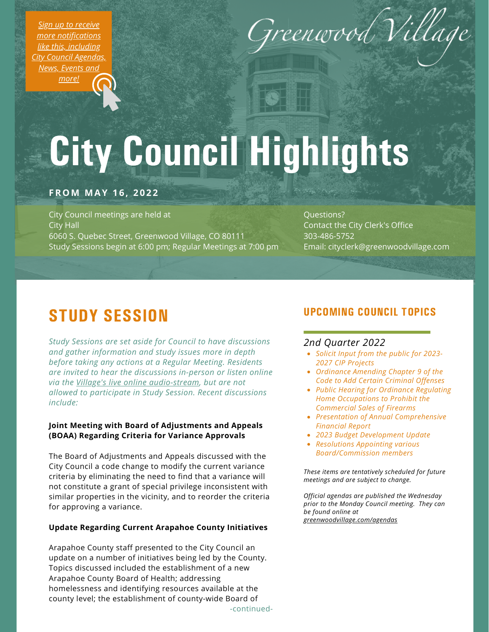*Sign up to receive more [notifications](https://greenwoodvillage.com/list.aspx) like this, including City Council Agendas, News, Events and more!*



# City Council Highlights

#### **FROM MAY 1 6 , 2 0 2 2**

City Council meetings are held at City Hall 6060 S. Quebec Street, Greenwood Village, CO 80111 Study Sessions begin at 6:00 pm; Regular Meetings at 7:00 pm

Questions? Contact the City Clerk's Office 303-486-5752 Email: cityclerk@greenwoodvillage.com

## STUDY SESSION

*Study Sessions are set aside for Council to have discussions and gather information and study issues more in depth before taking any actions at a Regular Meeting. Residents are invited to hear the discussions in-person or listen online via the Village's live online [audio-stream](https://greenwoodvillage.com/2390/Agendas-Minutes-Webcasts), but are not allowed to participate in Study Session. Recent discussions include:*

#### **Joint Meeting with Board of Adjustments and Appeals (BOAA) Regarding Criteria for Variance Approvals**

The Board of Adjustments and Appeals discussed with the City Council a code change to modify the current variance criteria by eliminating the need to find that a variance will not constitute a grant of special privilege inconsistent with similar properties in the vicinity, and to reorder the criteria for approving a variance.

#### **Update Regarding Current Arapahoe County Initiatives**

Arapahoe County staff presented to the City Council an update on a number of initiatives being led by the County. Topics discussed included the establishment of a new Arapahoe County Board of Health; addressing homelessness and identifying resources available at the county level; the establishment of county-wide Board of

### UPCOMING COUNCIL TOPICS

#### *2nd Quarter 2022*

- *Solicit Input from the public for 2023- 2027 CIP Projects*
- *Ordinance Amending Chapter 9 of the Code to Add Certain Criminal Offenses*
- *Public Hearing for Ordinance Regulating Home Occupations to Prohibit the Commercial Sales of Firearms*
- *Presentation of Annual Comprehensive Financial Report*
- *2023 Budget Development Update*
- *Resolutions Appointing various Board/Commission members*

*These items are tentatively scheduled for future meetings and are subject to change.*

*Official agendas are published the Wednesday prior to the Monday Council meeting. They can be found online at [greenwoodvillage.com/agendas](http://greenwoodvillage.com/agendas)*